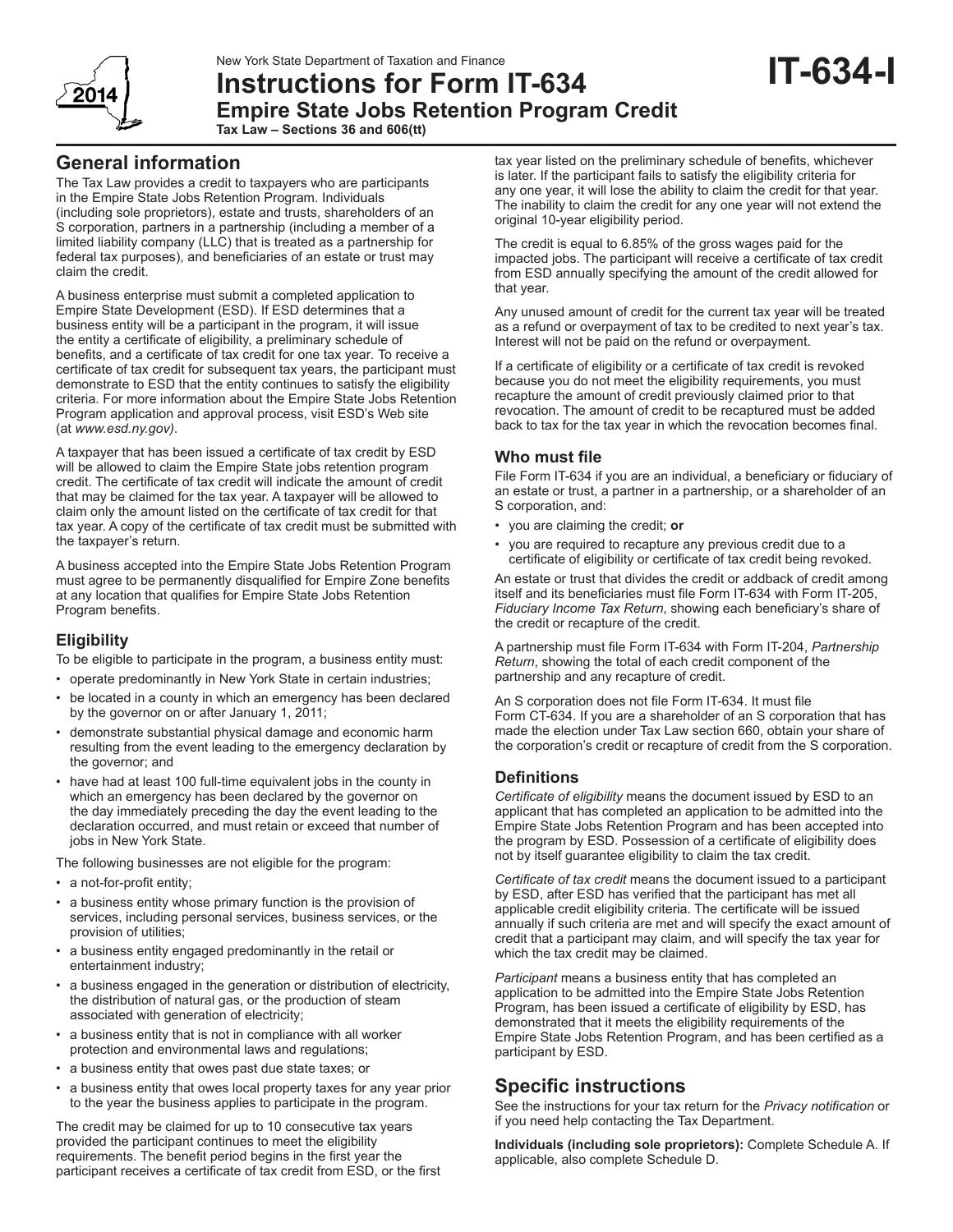

# **Instructions for Form IT-634 Empire State Jobs Retention Program Credit Tax Law – Sections 36 and 606(tt)**

# **General information**

The Tax Law provides a credit to taxpayers who are participants in the Empire State Jobs Retention Program. Individuals (including sole proprietors), estate and trusts, shareholders of an S corporation, partners in a partnership (including a member of a limited liability company (LLC) that is treated as a partnership for federal tax purposes), and beneficiaries of an estate or trust may claim the credit.

A business enterprise must submit a completed application to Empire State Development (ESD). If ESD determines that a business entity will be a participant in the program, it will issue the entity a certificate of eligibility, a preliminary schedule of benefits, and a certificate of tax credit for one tax year*.* To receive a certificate of tax credit for subsequent tax years, the participant must demonstrate to ESD that the entity continues to satisfy the eligibility criteria. For more information about the Empire State Jobs Retention Program application and approval process, visit ESD's Web site (at *www.esd.ny.gov)*.

A taxpayer that has been issued a certificate of tax credit by ESD will be allowed to claim the Empire State jobs retention program credit. The certificate of tax credit will indicate the amount of credit that may be claimed for the tax year. A taxpayer will be allowed to claim only the amount listed on the certificate of tax credit for that tax year. A copy of the certificate of tax credit must be submitted with the taxpayer's return.

A business accepted into the Empire State Jobs Retention Program must agree to be permanently disqualified for Empire Zone benefits at any location that qualifies for Empire State Jobs Retention Program benefits.

## **Eligibility**

To be eligible to participate in the program, a business entity must:

- operate predominantly in New York State in certain industries;
- be located in a county in which an emergency has been declared by the governor on or after January 1, 2011;
- demonstrate substantial physical damage and economic harm resulting from the event leading to the emergency declaration by the governor; and
- have had at least 100 full-time equivalent jobs in the county in which an emergency has been declared by the governor on the day immediately preceding the day the event leading to the declaration occurred, and must retain or exceed that number of jobs in New York State.

The following businesses are not eligible for the program:

- a not-for-profit entity;
- a business entity whose primary function is the provision of services, including personal services, business services, or the provision of utilities;
- a business entity engaged predominantly in the retail or entertainment industry;
- a business engaged in the generation or distribution of electricity, the distribution of natural gas, or the production of steam associated with generation of electricity;
- a business entity that is not in compliance with all worker protection and environmental laws and regulations;
- a business entity that owes past due state taxes; or
- a business entity that owes local property taxes for any year prior to the year the business applies to participate in the program.

The credit may be claimed for up to 10 consecutive tax years provided the participant continues to meet the eligibility requirements. The benefit period begins in the first year the participant receives a certificate of tax credit from ESD, or the first tax year listed on the preliminary schedule of benefits, whichever is later. If the participant fails to satisfy the eligibility criteria for any one year, it will lose the ability to claim the credit for that year. The inability to claim the credit for any one year will not extend the original 10-year eligibility period.

**IT-634-I**

The credit is equal to 6.85% of the gross wages paid for the impacted jobs. The participant will receive a certificate of tax credit from ESD annually specifying the amount of the credit allowed for that year.

Any unused amount of credit for the current tax year will be treated as a refund or overpayment of tax to be credited to next year's tax. Interest will not be paid on the refund or overpayment.

If a certificate of eligibility or a certificate of tax credit is revoked because you do not meet the eligibility requirements, you must recapture the amount of credit previously claimed prior to that revocation. The amount of credit to be recaptured must be added back to tax for the tax year in which the revocation becomes final.

## **Who must file**

File Form IT-634 if you are an individual, a beneficiary or fiduciary of an estate or trust, a partner in a partnership, or a shareholder of an S corporation, and:

- you are claiming the credit; **or**
- you are required to recapture any previous credit due to a certificate of eligibility or certificate of tax credit being revoked.

An estate or trust that divides the credit or addback of credit among itself and its beneficiaries must file Form IT-634 with Form IT-205, *Fiduciary Income Tax Return*, showing each beneficiary's share of the credit or recapture of the credit.

A partnership must file Form IT-634 with Form IT-204, *Partnership Return*, showing the total of each credit component of the partnership and any recapture of credit.

An S corporation does not file Form IT-634. It must file Form CT-634. If you are a shareholder of an S corporation that has made the election under Tax Law section 660, obtain your share of the corporation's credit or recapture of credit from the S corporation.

### **Definitions**

*Certificate of eligibility* means the document issued by ESD to an applicant that has completed an application to be admitted into the Empire State Jobs Retention Program and has been accepted into the program by ESD. Possession of a certificate of eligibility does not by itself guarantee eligibility to claim the tax credit.

*Certificate of tax credit* means the document issued to a participant by ESD, after ESD has verified that the participant has met all applicable credit eligibility criteria. The certificate will be issued annually if such criteria are met and will specify the exact amount of credit that a participant may claim, and will specify the tax year for which the tax credit may be claimed.

*Participant* means a business entity that has completed an application to be admitted into the Empire State Jobs Retention Program, has been issued a certificate of eligibility by ESD, has demonstrated that it meets the eligibility requirements of the Empire State Jobs Retention Program, and has been certified as a participant by ESD.

# **Specific instructions**

See the instructions for your tax return for the *Privacy notification* or if you need help contacting the Tax Department.

**Individuals (including sole proprietors):** Complete Schedule A. If applicable, also complete Schedule D.